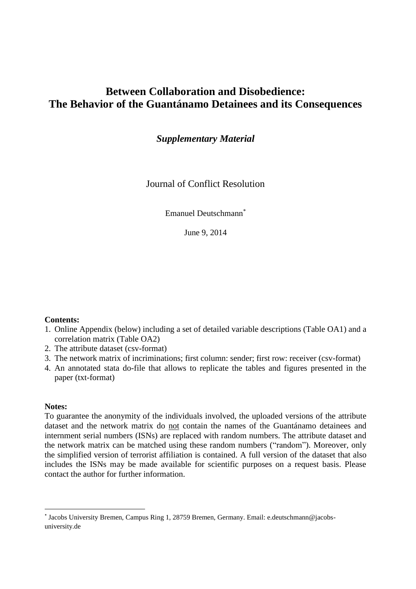# **Between Collaboration and Disobedience: The Behavior of the Guantánamo Detainees and its Consequences**

*Supplementary Material*

Journal of Conflict Resolution

Emanuel Deutschmann\*

June 9, 2014

#### **Contents:**

- 1. Online Appendix (below) including a set of detailed variable descriptions (Table OA1) and a correlation matrix (Table OA2)
- 2. The attribute dataset (csv-format)
- 3. The network matrix of incriminations; first column: sender; first row: receiver (csv-format)
- 4. An annotated stata do-file that allows to replicate the tables and figures presented in the paper (txt-format)

#### **Notes:**

 $\overline{a}$ 

To guarantee the anonymity of the individuals involved, the uploaded versions of the attribute dataset and the network matrix do not contain the names of the Guantánamo detainees and internment serial numbers (ISNs) are replaced with random numbers. The attribute dataset and the network matrix can be matched using these random numbers ("random"). Moreover, only the simplified version of terrorist affiliation is contained. A full version of the dataset that also includes the ISNs may be made available for scientific purposes on a request basis. Please contact the author for further information.

<sup>\*</sup> Jacobs University Bremen, Campus Ring 1, 28759 Bremen, Germany. Email: e.deutschmann@jacobsuniversity.de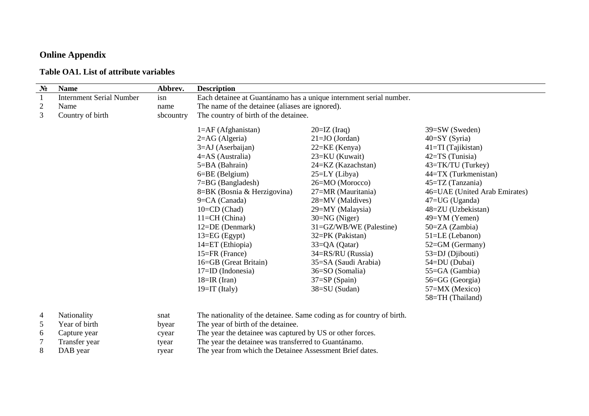# **Online Appendix**

### **Table OA1. List of attribute variables**

| $N_2$          | <b>Name</b>                     | Abbrev.   | <b>Description</b>                                                    |                               |                                   |  |  |  |  |  |  |
|----------------|---------------------------------|-----------|-----------------------------------------------------------------------|-------------------------------|-----------------------------------|--|--|--|--|--|--|
| $\mathbf{1}$   | <b>Internment Serial Number</b> | isn       | Each detainee at Guantánamo has a unique internment serial number.    |                               |                                   |  |  |  |  |  |  |
| $\overline{2}$ | Name                            | name      | The name of the detainee (aliases are ignored).                       |                               |                                   |  |  |  |  |  |  |
| $\overline{3}$ | Country of birth                | sbcountry | The country of birth of the detainee.                                 |                               |                                   |  |  |  |  |  |  |
|                |                                 |           | $1=AF$ (Afghanistan)                                                  | $20=IZ$ (Iraq)                | 39=SW (Sweden)<br>$40=SY$ (Syria) |  |  |  |  |  |  |
|                |                                 |           | $2 = AG$ (Algeria)                                                    | $21=JO$ (Jordan)              |                                   |  |  |  |  |  |  |
|                |                                 |           | 3=AJ (Aserbaijan)                                                     | $22=KE$ (Kenya)               | 41=TI (Tajikistan)                |  |  |  |  |  |  |
|                |                                 |           | $4 = AS$ (Australia)                                                  | 23=KU (Kuwait)                |                                   |  |  |  |  |  |  |
|                |                                 |           | 5=BA (Bahrain)                                                        | 24=KZ (Kazachstan)            |                                   |  |  |  |  |  |  |
|                |                                 |           | $6 = BE$ (Belgium)                                                    | 44=TX (Turkmenistan)          |                                   |  |  |  |  |  |  |
|                |                                 |           | $7 = BG$ (Bangladesh)                                                 | $45 = TZ$ (Tanzania)          |                                   |  |  |  |  |  |  |
|                |                                 |           | 8=BK (Bosnia & Herzigovina)                                           | 46=UAE (United Arab Emirates) |                                   |  |  |  |  |  |  |
|                |                                 |           | 9=CA (Canada)                                                         | 28=MV (Maldives)              | $47 = UG$ (Uganda)                |  |  |  |  |  |  |
|                |                                 |           | $10=CD$ (Chad)                                                        | 29=MY (Malaysia)              | 48=ZU (Uzbekistan)                |  |  |  |  |  |  |
|                |                                 |           | 11=CH (China)                                                         | $30=NG$ (Niger)               | 49=YM (Yemen)                     |  |  |  |  |  |  |
|                |                                 |           | 12=DE (Denmark)                                                       | 31=GZ/WB/WE (Palestine)       | $50=ZA$ (Zambia)                  |  |  |  |  |  |  |
|                |                                 |           | $13 = EG (Egypt)$                                                     | 32=PK (Pakistan)              | $51 = LE$ (Lebanon)               |  |  |  |  |  |  |
|                |                                 |           | 14=ET (Ethiopia)                                                      | $33=QA (Qatar)$               | 52=GM (Germany)                   |  |  |  |  |  |  |
|                |                                 |           | 15=FR (France)                                                        | 34=RS/RU (Russia)             | 53=DJ (Djibouti)                  |  |  |  |  |  |  |
|                |                                 |           | 16=GB (Great Britain)                                                 | 54=DU (Dubai)                 |                                   |  |  |  |  |  |  |
|                |                                 |           | $17 = ID$ (Indonesia)                                                 | 36=SO (Somalia)               | 55=GA (Gambia)                    |  |  |  |  |  |  |
|                |                                 |           | $18=IR$ (Iran)                                                        | $37 = SP(Spain)$              | 56=GG (Georgia)                   |  |  |  |  |  |  |
|                |                                 |           | $19=IT$ (Italy)                                                       | 57=MX (Mexico)                |                                   |  |  |  |  |  |  |
|                |                                 |           |                                                                       |                               | 58=TH (Thailand)                  |  |  |  |  |  |  |
| 4              | Nationality                     | snat      | The nationality of the detainee. Same coding as for country of birth. |                               |                                   |  |  |  |  |  |  |
| 5              | Year of birth                   | byear     | The year of birth of the detainee.                                    |                               |                                   |  |  |  |  |  |  |
| 6              | Capture year                    | cyear     | The year the detainee was captured by US or other forces.             |                               |                                   |  |  |  |  |  |  |
| $\overline{7}$ | Transfer year                   | tyear     | The year the detainee was transferred to Guantánamo.                  |                               |                                   |  |  |  |  |  |  |

8 DAB year ryear The year from which the Detainee Assessment Brief dates.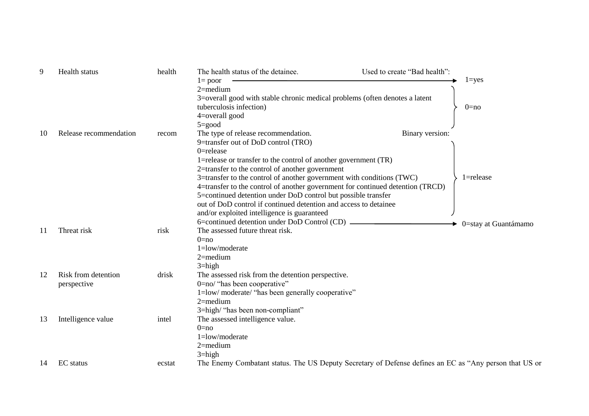| 9  | Health status          | health | The health status of the detainee.                                                                     | Used to create "Bad health": |               |  |  |  |  |  |
|----|------------------------|--------|--------------------------------------------------------------------------------------------------------|------------------------------|---------------|--|--|--|--|--|
|    |                        |        | $l = poor$                                                                                             |                              | $1 = yes$     |  |  |  |  |  |
|    |                        |        | $2$ =medium                                                                                            |                              |               |  |  |  |  |  |
|    |                        |        | 3=overall good with stable chronic medical problems (often denotes a latent                            |                              |               |  |  |  |  |  |
|    |                        |        | tuberculosis infection)                                                                                | $0=no$                       |               |  |  |  |  |  |
|    |                        |        | 4=overall good                                                                                         |                              |               |  |  |  |  |  |
|    |                        |        | $5 = \text{good}$                                                                                      |                              |               |  |  |  |  |  |
| 10 | Release recommendation | recom  | The type of release recommendation.                                                                    | Binary version:              |               |  |  |  |  |  |
|    |                        |        | 9=transfer out of DoD control (TRO)                                                                    |                              |               |  |  |  |  |  |
|    |                        |        | $0 =$ release                                                                                          |                              |               |  |  |  |  |  |
|    |                        |        | 1=release or transfer to the control of another government (TR)                                        |                              |               |  |  |  |  |  |
|    |                        |        | 2=transfer to the control of another government                                                        |                              |               |  |  |  |  |  |
|    |                        |        | 3=transfer to the control of another government with conditions (TWC)                                  |                              | $1 =$ release |  |  |  |  |  |
|    |                        |        | 4=transfer to the control of another government for continued detention (TRCD)                         |                              |               |  |  |  |  |  |
|    |                        |        | 5=continued detention under DoD control but possible transfer                                          |                              |               |  |  |  |  |  |
|    |                        |        | out of DoD control if continued detention and access to detainee                                       |                              |               |  |  |  |  |  |
|    |                        |        | and/or exploited intelligence is guaranteed                                                            |                              |               |  |  |  |  |  |
|    |                        |        | 6=continued detention under DoD Control (CD) _____                                                     | 0=stay at Guantámamo         |               |  |  |  |  |  |
| 11 | Threat risk            | risk   | The assessed future threat risk.                                                                       |                              |               |  |  |  |  |  |
|    |                        |        | $0 = no$                                                                                               |                              |               |  |  |  |  |  |
|    |                        |        | 1=low/moderate                                                                                         |                              |               |  |  |  |  |  |
|    |                        |        | $2$ =medium                                                                                            |                              |               |  |  |  |  |  |
|    |                        |        | $3 = high$                                                                                             |                              |               |  |  |  |  |  |
| 12 | Risk from detention    | drisk  | The assessed risk from the detention perspective.                                                      |                              |               |  |  |  |  |  |
|    | perspective            |        | 0=no/ "has been cooperative"                                                                           |                              |               |  |  |  |  |  |
|    |                        |        | 1=low/ moderate/ "has been generally cooperative"                                                      |                              |               |  |  |  |  |  |
|    |                        |        | $2$ =medium                                                                                            |                              |               |  |  |  |  |  |
|    |                        |        | 3=high/ "has been non-compliant"                                                                       |                              |               |  |  |  |  |  |
| 13 | Intelligence value     | intel  | The assessed intelligence value.                                                                       |                              |               |  |  |  |  |  |
|    |                        |        | $0 = no$<br>1=low/moderate                                                                             |                              |               |  |  |  |  |  |
|    |                        |        |                                                                                                        |                              |               |  |  |  |  |  |
|    |                        |        | $2$ =medium<br>$3 = high$                                                                              |                              |               |  |  |  |  |  |
|    |                        |        |                                                                                                        |                              |               |  |  |  |  |  |
| 14 | <b>EC</b> status       | ecstat | The Enemy Combatant status. The US Deputy Secretary of Defense defines an EC as "Any person that US or |                              |               |  |  |  |  |  |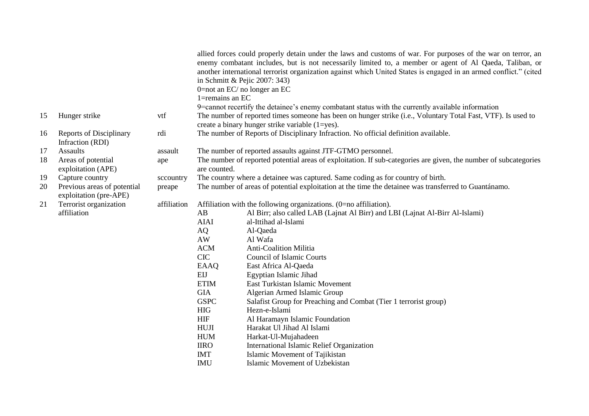|    |                                                       |             | 1=remains an EC                                                                                                                  | allied forces could properly detain under the laws and customs of war. For purposes of the war on terror, an<br>enemy combatant includes, but is not necessarily limited to, a member or agent of Al Qaeda, Taliban, or<br>another international terrorist organization against which United States is engaged in an armed conflict." (cited<br>in Schmitt & Pejic 2007: 343)<br>0=not an $EC/$ no longer an $EC$ |  |  |  |  |
|----|-------------------------------------------------------|-------------|----------------------------------------------------------------------------------------------------------------------------------|-------------------------------------------------------------------------------------------------------------------------------------------------------------------------------------------------------------------------------------------------------------------------------------------------------------------------------------------------------------------------------------------------------------------|--|--|--|--|
|    |                                                       |             |                                                                                                                                  | 9=cannot recertify the detainee's enemy combatant status with the currently available information                                                                                                                                                                                                                                                                                                                 |  |  |  |  |
| 15 | Hunger strike                                         | vtf         |                                                                                                                                  | The number of reported times someone has been on hunger strike (i.e., Voluntary Total Fast, VTF). Is used to<br>create a binary hunger strike variable $(1 = yes)$ .                                                                                                                                                                                                                                              |  |  |  |  |
| 16 | <b>Reports of Disciplinary</b><br>Infraction (RDI)    | rdi         |                                                                                                                                  | The number of Reports of Disciplinary Infraction. No official definition available.                                                                                                                                                                                                                                                                                                                               |  |  |  |  |
| 17 | <b>Assaults</b>                                       | assault     |                                                                                                                                  | The number of reported assaults against JTF-GTMO personnel.                                                                                                                                                                                                                                                                                                                                                       |  |  |  |  |
| 18 | Areas of potential<br>exploitation (APE)              | ape         | The number of reported potential areas of exploitation. If sub-categories are given, the number of subcategories<br>are counted. |                                                                                                                                                                                                                                                                                                                                                                                                                   |  |  |  |  |
| 19 | Capture country                                       | sccountry   |                                                                                                                                  | The country where a detainee was captured. Same coding as for country of birth.                                                                                                                                                                                                                                                                                                                                   |  |  |  |  |
| 20 | Previous areas of potential<br>exploitation (pre-APE) | preape      | The number of areas of potential exploitation at the time the detainee was transferred to Guantánamo.                            |                                                                                                                                                                                                                                                                                                                                                                                                                   |  |  |  |  |
| 21 | Terrorist organization                                | affiliation | Affiliation with the following organizations. (0=no affiliation).                                                                |                                                                                                                                                                                                                                                                                                                                                                                                                   |  |  |  |  |
|    | affiliation                                           |             | AB                                                                                                                               | Al Birr; also called LAB (Lajnat Al Birr) and LBI (Lajnat Al-Birr Al-Islami)                                                                                                                                                                                                                                                                                                                                      |  |  |  |  |
|    |                                                       |             | <b>AIAI</b>                                                                                                                      | al-Ittihad al-Islami                                                                                                                                                                                                                                                                                                                                                                                              |  |  |  |  |
|    |                                                       |             | AQ                                                                                                                               | Al-Qaeda                                                                                                                                                                                                                                                                                                                                                                                                          |  |  |  |  |
|    |                                                       |             | AW                                                                                                                               | Al Wafa                                                                                                                                                                                                                                                                                                                                                                                                           |  |  |  |  |
|    |                                                       |             | <b>ACM</b>                                                                                                                       | <b>Anti-Coalition Militia</b>                                                                                                                                                                                                                                                                                                                                                                                     |  |  |  |  |
|    |                                                       |             | <b>CIC</b>                                                                                                                       | <b>Council of Islamic Courts</b>                                                                                                                                                                                                                                                                                                                                                                                  |  |  |  |  |
|    |                                                       |             | EAAQ                                                                                                                             | East Africa Al-Qaeda                                                                                                                                                                                                                                                                                                                                                                                              |  |  |  |  |
|    |                                                       |             | EIJ                                                                                                                              | Egyptian Islamic Jihad                                                                                                                                                                                                                                                                                                                                                                                            |  |  |  |  |
|    |                                                       |             | <b>ETIM</b>                                                                                                                      | East Turkistan Islamic Movement                                                                                                                                                                                                                                                                                                                                                                                   |  |  |  |  |
|    |                                                       |             | <b>GIA</b>                                                                                                                       | Algerian Armed Islamic Group                                                                                                                                                                                                                                                                                                                                                                                      |  |  |  |  |
|    |                                                       |             | <b>GSPC</b>                                                                                                                      | Salafist Group for Preaching and Combat (Tier 1 terrorist group)                                                                                                                                                                                                                                                                                                                                                  |  |  |  |  |
|    |                                                       |             | <b>HIG</b>                                                                                                                       | Hezn-e-Islami                                                                                                                                                                                                                                                                                                                                                                                                     |  |  |  |  |
|    |                                                       |             | <b>HIF</b>                                                                                                                       | Al Haramayn Islamic Foundation                                                                                                                                                                                                                                                                                                                                                                                    |  |  |  |  |
|    |                                                       |             | <b>HUJI</b>                                                                                                                      | Harakat Ul Jihad Al Islami                                                                                                                                                                                                                                                                                                                                                                                        |  |  |  |  |
|    |                                                       |             | <b>HUM</b>                                                                                                                       | Harkat-Ul-Mujahadeen                                                                                                                                                                                                                                                                                                                                                                                              |  |  |  |  |
|    |                                                       |             | <b>IIRO</b>                                                                                                                      | International Islamic Relief Organization                                                                                                                                                                                                                                                                                                                                                                         |  |  |  |  |
|    |                                                       |             | <b>IMT</b>                                                                                                                       | Islamic Movement of Tajikistan                                                                                                                                                                                                                                                                                                                                                                                    |  |  |  |  |
|    |                                                       |             | <b>IMU</b>                                                                                                                       | Islamic Movement of Uzbekistan                                                                                                                                                                                                                                                                                                                                                                                    |  |  |  |  |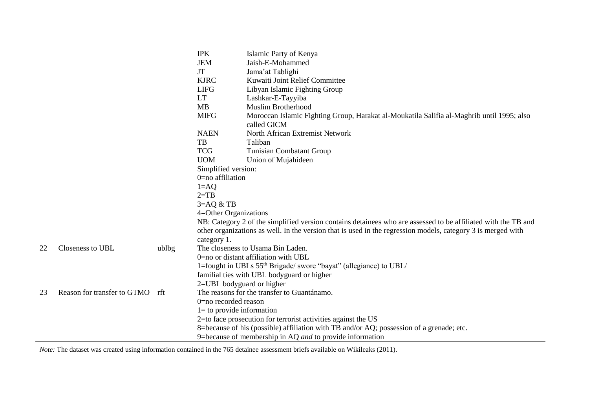|    |                                 |       | <b>IPK</b>                                                                                                    | Islamic Party of Kenya                                                                    |  |  |  |  |
|----|---------------------------------|-------|---------------------------------------------------------------------------------------------------------------|-------------------------------------------------------------------------------------------|--|--|--|--|
|    |                                 |       | <b>JEM</b>                                                                                                    | Jaish-E-Mohammed                                                                          |  |  |  |  |
|    |                                 |       | <b>JT</b>                                                                                                     | Jama'at Tablighi                                                                          |  |  |  |  |
|    |                                 |       | <b>KJRC</b>                                                                                                   | Kuwaiti Joint Relief Committee                                                            |  |  |  |  |
|    |                                 |       | <b>LIFG</b>                                                                                                   | Libyan Islamic Fighting Group                                                             |  |  |  |  |
|    |                                 |       | <b>LT</b>                                                                                                     | Lashkar-E-Tayyiba                                                                         |  |  |  |  |
|    |                                 |       | MB                                                                                                            | <b>Muslim Brotherhood</b>                                                                 |  |  |  |  |
|    |                                 |       | <b>MIFG</b>                                                                                                   | Moroccan Islamic Fighting Group, Harakat al-Moukatila Salifia al-Maghrib until 1995; also |  |  |  |  |
|    |                                 |       |                                                                                                               | called GICM                                                                               |  |  |  |  |
|    |                                 |       | <b>NAEN</b>                                                                                                   | North African Extremist Network                                                           |  |  |  |  |
|    |                                 |       | TB                                                                                                            | Taliban                                                                                   |  |  |  |  |
|    |                                 |       | <b>TCG</b>                                                                                                    | <b>Tunisian Combatant Group</b>                                                           |  |  |  |  |
|    |                                 |       | <b>UOM</b><br>Union of Mujahideen                                                                             |                                                                                           |  |  |  |  |
|    |                                 |       | Simplified version:                                                                                           |                                                                                           |  |  |  |  |
|    |                                 |       | $0$ =no affiliation                                                                                           |                                                                                           |  |  |  |  |
|    |                                 |       | $1 = AQ$                                                                                                      |                                                                                           |  |  |  |  |
|    |                                 |       | $2=TB$                                                                                                        |                                                                                           |  |  |  |  |
|    |                                 |       | $3 = AQ & B$                                                                                                  |                                                                                           |  |  |  |  |
|    |                                 |       | 4=Other Organizations                                                                                         |                                                                                           |  |  |  |  |
|    |                                 |       | NB: Category 2 of the simplified version contains detainees who are assessed to be affiliated with the TB and |                                                                                           |  |  |  |  |
|    |                                 |       | other organizations as well. In the version that is used in the regression models, category 3 is merged with  |                                                                                           |  |  |  |  |
|    |                                 |       | category 1.                                                                                                   |                                                                                           |  |  |  |  |
| 22 | Closeness to UBL                | ublbg | The closeness to Usama Bin Laden.                                                                             |                                                                                           |  |  |  |  |
|    |                                 |       | 0=no or distant affiliation with UBL                                                                          |                                                                                           |  |  |  |  |
|    |                                 |       | 1=fought in UBLs 55 <sup>th</sup> Brigade/ swore "bayat" (allegiance) to UBL/                                 |                                                                                           |  |  |  |  |
|    |                                 |       | familial ties with UBL bodyguard or higher                                                                    |                                                                                           |  |  |  |  |
|    |                                 |       | 2=UBL bodyguard or higher                                                                                     |                                                                                           |  |  |  |  |
| 23 | Reason for transfer to GTMO rft |       | The reasons for the transfer to Guantánamo.                                                                   |                                                                                           |  |  |  |  |
|    |                                 |       | 0=no recorded reason                                                                                          |                                                                                           |  |  |  |  |
|    |                                 |       | $l =$ to provide information                                                                                  |                                                                                           |  |  |  |  |
|    |                                 |       | 2=to face prosecution for terrorist activities against the US                                                 |                                                                                           |  |  |  |  |
|    |                                 |       | 8=because of his (possible) affiliation with TB and/or AQ; possession of a grenade; etc.                      |                                                                                           |  |  |  |  |
|    |                                 |       |                                                                                                               | 9=because of membership in AQ and to provide information                                  |  |  |  |  |

*Note:* The dataset was created using information contained in the 765 detainee assessment briefs available on Wikileaks (2011).